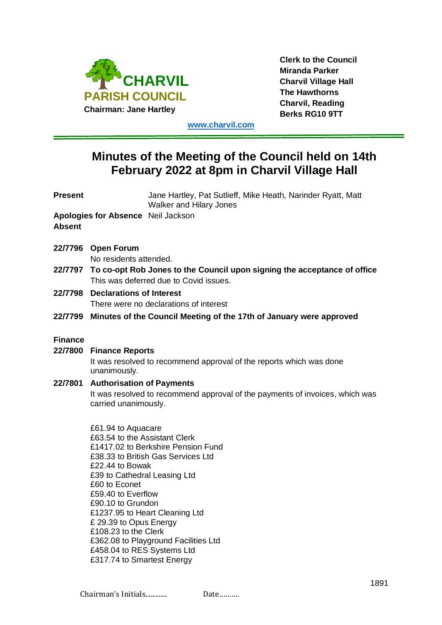

**Clerk to the Council Miranda Parker Charvil Village Hall The Hawthorns Charvil, Reading Berks RG10 9TT**

**[www.charvil.com](http://www.charvil.com/)**

# **Minutes of the Meeting of the Council held on 14th February 2022 at 8pm in Charvil Village Hall**

| <b>Present</b> |                                                                                                                            | Jane Hartley, Pat Sutlieff, Mike Heath, Narinder Ryatt, Matt<br><b>Walker and Hilary Jones</b>       |  |
|----------------|----------------------------------------------------------------------------------------------------------------------------|------------------------------------------------------------------------------------------------------|--|
| <b>Absent</b>  | <b>Apologies for Absence Neil Jackson</b>                                                                                  |                                                                                                      |  |
|                | 22/7796 Open Forum<br>No residents attended.                                                                               |                                                                                                      |  |
|                | 22/7797 To co-opt Rob Jones to the Council upon signing the acceptance of office<br>This was deferred due to Covid issues. |                                                                                                      |  |
| 22/7798        | <b>Declarations of Interest</b><br>There were no declarations of interest                                                  |                                                                                                      |  |
|                | 22/7799 Minutes of the Council Meeting of the 17th of January were approved                                                |                                                                                                      |  |
| <b>Finance</b> |                                                                                                                            |                                                                                                      |  |
| 22/7800        | <b>Finance Reports</b>                                                                                                     |                                                                                                      |  |
|                | unanimously.                                                                                                               | It was resolved to recommend approval of the reports which was done                                  |  |
|                | 22/7801 Authorisation of Payments                                                                                          |                                                                                                      |  |
|                |                                                                                                                            | It was resolved to recommend approval of the payments of invoices, which was<br>carried unanimously. |  |
|                | £61.94 to Aquacare<br>£63.54 to the Assistant Clerk                                                                        |                                                                                                      |  |
|                |                                                                                                                            | £1417.02 to Berkshire Pension Fund                                                                   |  |
|                |                                                                                                                            | £38.33 to British Gas Services Ltd                                                                   |  |
|                | £22.44 to Bowak                                                                                                            |                                                                                                      |  |
|                | £39 to Cathedral Leasing Ltd                                                                                               |                                                                                                      |  |
|                | £60 to Econet<br>£59.40 to Everflow                                                                                        |                                                                                                      |  |
|                | £90.10 to Grundon                                                                                                          |                                                                                                      |  |
|                | £1237.95 to Heart Cleaning Ltd                                                                                             |                                                                                                      |  |
|                | £ 29.39 to Opus Energy                                                                                                     |                                                                                                      |  |
|                | £108.23 to the Clerk                                                                                                       |                                                                                                      |  |
|                |                                                                                                                            | £362.08 to Playground Facilities Ltd                                                                 |  |

£458.04 to RES Systems Ltd £317.74 to Smartest Energy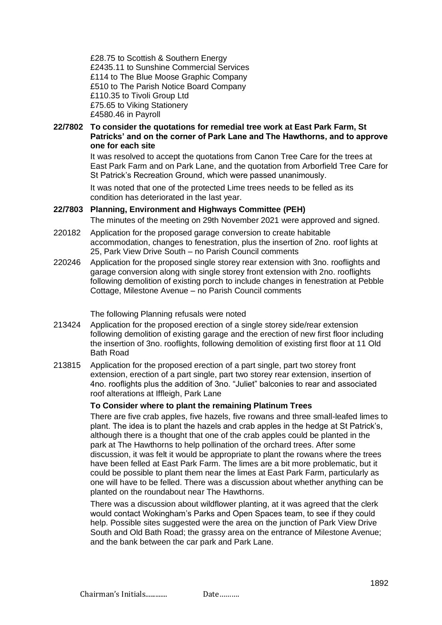£28.75 to Scottish & Southern Energy £2435.11 to Sunshine Commercial Services £114 to The Blue Moose Graphic Company £510 to The Parish Notice Board Company £110.35 to Tivoli Group Ltd £75.65 to Viking Stationery £4580.46 in Payroll

# **22/7802 To consider the quotations for remedial tree work at East Park Farm, St Patricks' and on the corner of Park Lane and The Hawthorns, and to approve one for each site**

It was resolved to accept the quotations from Canon Tree Care for the trees at East Park Farm and on Park Lane, and the quotation from Arborfield Tree Care for St Patrick's Recreation Ground, which were passed unanimously.

It was noted that one of the protected Lime trees needs to be felled as its condition has deteriorated in the last year.

# **22/7803 Planning, Environment and Highways Committee (PEH)**

The minutes of the meeting on 29th November 2021 were approved and signed.

- 220182 Application for the proposed garage conversion to create habitable accommodation, changes to fenestration, plus the insertion of 2no. roof lights at 25, Park View Drive South – no Parish Council comments
- 220246 Application for the proposed single storey rear extension with 3no. rooflights and garage conversion along with single storey front extension with 2no. rooflights following demolition of existing porch to include changes in fenestration at Pebble Cottage, Milestone Avenue – no Parish Council comments

#### The following Planning refusals were noted

- 213424 Application for the proposed erection of a single storey side/rear extension following demolition of existing garage and the erection of new first floor including the insertion of 3no. rooflights, following demolition of existing first floor at 11 Old Bath Road
- 213815 Application for the proposed erection of a part single, part two storey front extension, erection of a part single, part two storey rear extension, insertion of 4no. rooflights plus the addition of 3no. "Juliet" balconies to rear and associated roof alterations at Iffleigh, Park Lane

# **To Consider where to plant the remaining Platinum Trees**

There are five crab apples, five hazels, five rowans and three small-leafed limes to plant. The idea is to plant the hazels and crab apples in the hedge at St Patrick's, although there is a thought that one of the crab apples could be planted in the park at The Hawthorns to help pollination of the orchard trees. After some discussion, it was felt it would be appropriate to plant the rowans where the trees have been felled at East Park Farm. The limes are a bit more problematic, but it could be possible to plant them near the limes at East Park Farm, particularly as one will have to be felled. There was a discussion about whether anything can be planted on the roundabout near The Hawthorns.

There was a discussion about wildflower planting, at it was agreed that the clerk would contact Wokingham's Parks and Open Spaces team, to see if they could help. Possible sites suggested were the area on the junction of Park View Drive South and Old Bath Road; the grassy area on the entrance of Milestone Avenue; and the bank between the car park and Park Lane.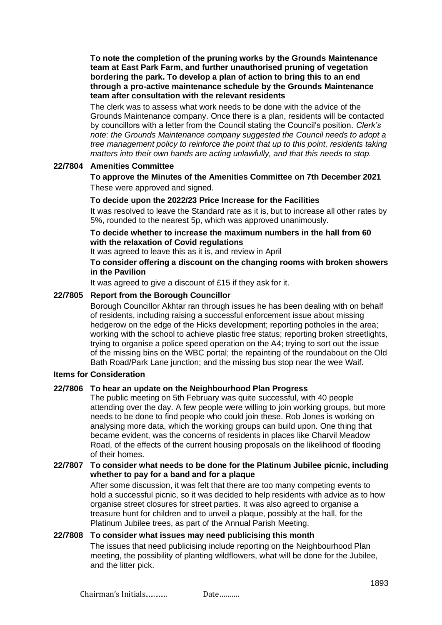**To note the completion of the pruning works by the Grounds Maintenance team at East Park Farm, and further unauthorised pruning of vegetation bordering the park. To develop a plan of action to bring this to an end through a pro-active maintenance schedule by the Grounds Maintenance team after consultation with the relevant residents**

The clerk was to assess what work needs to be done with the advice of the Grounds Maintenance company. Once there is a plan, residents will be contacted by councillors with a letter from the Council stating the Council's position. *Clerk's note: the Grounds Maintenance company suggested the Council needs to adopt a tree management policy to reinforce the point that up to this point, residents taking matters into their own hands are acting unlawfully, and that this needs to stop.*

# **22/7804 Amenities Committee**

**To approve the Minutes of the Amenities Committee on 7th December 2021** These were approved and signed.

# **To decide upon the 2022/23 Price Increase for the Facilities**

It was resolved to leave the Standard rate as it is, but to increase all other rates by 5%, rounded to the nearest 5p, which was approved unanimously.

# **To decide whether to increase the maximum numbers in the hall from 60 with the relaxation of Covid regulations**

It was agreed to leave this as it is, and review in April

# **To consider offering a discount on the changing rooms with broken showers in the Pavilion**

It was agreed to give a discount of £15 if they ask for it.

# **22/7805 Report from the Borough Councillor**

Borough Councillor Akhtar ran through issues he has been dealing with on behalf of residents, including raising a successful enforcement issue about missing hedgerow on the edge of the Hicks development; reporting potholes in the area; working with the school to achieve plastic free status; reporting broken streetlights, trying to organise a police speed operation on the A4; trying to sort out the issue of the missing bins on the WBC portal; the repainting of the roundabout on the Old Bath Road/Park Lane junction; and the missing bus stop near the wee Waif.

#### **Items for Consideration**

#### **22/7806 To hear an update on the Neighbourhood Plan Progress**

The public meeting on 5th February was quite successful, with 40 people attending over the day. A few people were willing to join working groups, but more needs to be done to find people who could join these. Rob Jones is working on analysing more data, which the working groups can build upon. One thing that became evident, was the concerns of residents in places like Charvil Meadow Road, of the effects of the current housing proposals on the likelihood of flooding of their homes.

# **22/7807 To consider what needs to be done for the Platinum Jubilee picnic, including whether to pay for a band and for a plaque**

After some discussion, it was felt that there are too many competing events to hold a successful picnic, so it was decided to help residents with advice as to how organise street closures for street parties. It was also agreed to organise a treasure hunt for children and to unveil a plaque, possibly at the hall, for the Platinum Jubilee trees, as part of the Annual Parish Meeting.

# **22/7808 To consider what issues may need publicising this month**

The issues that need publicising include reporting on the Neighbourhood Plan meeting, the possibility of planting wildflowers, what will be done for the Jubilee, and the litter pick.